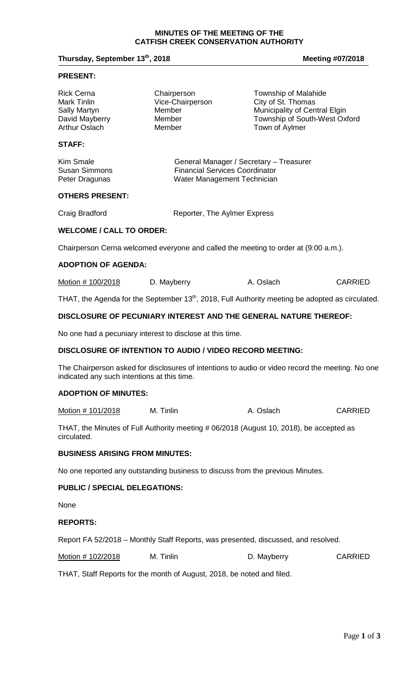## **Thursday, September 13<sup>th</sup>, 2018 Meeting #07/2018**

#### **PRESENT:**

| <b>Rick Cerna</b>    | Chairperson      | Township of Malahide          |
|----------------------|------------------|-------------------------------|
| Mark Tinlin          | Vice-Chairperson | City of St. Thomas            |
| Sally Martyn         | Member           | Municipality of Central Elgin |
| David Mayberry       | Member           | Township of South-West Oxford |
| <b>Arthur Oslach</b> | Member           | Town of Aylmer                |
|                      |                  |                               |

# **STAFF:**

| Kim Smale            | General Manager / Secretary - Treasurer |
|----------------------|-----------------------------------------|
| <b>Susan Simmons</b> | <b>Financial Services Coordinator</b>   |
| Peter Dragunas       | Water Management Technician             |

#### **OTHERS PRESENT:**

Craig Bradford **Reporter**, The Aylmer Express

# **WELCOME / CALL TO ORDER:**

Chairperson Cerna welcomed everyone and called the meeting to order at (9:00 a.m.).

#### **ADOPTION OF AGENDA:**

| Motion # 100/2018 | D. Mayberry | A. Oslach | <b>CARRIED</b> |
|-------------------|-------------|-----------|----------------|
|-------------------|-------------|-----------|----------------|

THAT, the Agenda for the September 13<sup>th</sup>, 2018, Full Authority meeting be adopted as circulated.

## **DISCLOSURE OF PECUNIARY INTEREST AND THE GENERAL NATURE THEREOF:**

No one had a pecuniary interest to disclose at this time.

### **DISCLOSURE OF INTENTION TO AUDIO / VIDEO RECORD MEETING:**

The Chairperson asked for disclosures of intentions to audio or video record the meeting. No one indicated any such intentions at this time.

#### **ADOPTION OF MINUTES:**

Motion # 101/2018 M. Tinlin A. Oslach CARRIED

THAT, the Minutes of Full Authority meeting # 06/2018 (August 10, 2018), be accepted as circulated.

#### **BUSINESS ARISING FROM MINUTES:**

No one reported any outstanding business to discuss from the previous Minutes.

#### **PUBLIC / SPECIAL DELEGATIONS:**

None

#### **REPORTS:**

Report FA 52/2018 – Monthly Staff Reports, was presented, discussed, and resolved.

Motion # 102/2018 M. Tinlin M. Tinlin D. Mayberry CARRIED

THAT, Staff Reports for the month of August, 2018, be noted and filed.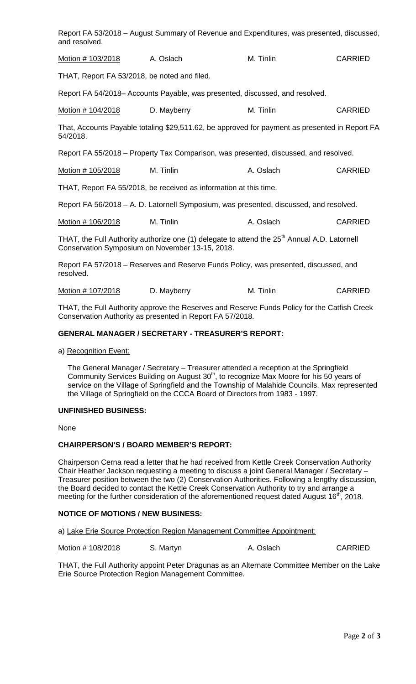Report FA 53/2018 – August Summary of Revenue and Expenditures, was presented, discussed, and resolved.

| Motion # 103/2018 | A. Oslach | M. Tinlin | <b>CARRIED</b> |
|-------------------|-----------|-----------|----------------|
|                   |           |           |                |

THAT, Report FA 53/2018, be noted and filed.

Report FA 54/2018– Accounts Payable, was presented, discussed, and resolved.

Motion # 104/2018 D. Mayberry M. Tinlin CARRIED

That, Accounts Payable totaling \$29,511.62, be approved for payment as presented in Report FA 54/2018.

Report FA 55/2018 – Property Tax Comparison, was presented, discussed, and resolved.

Motion # 105/2018 M. Tinlin A. Oslach CARRIED

THAT, Report FA 55/2018, be received as information at this time.

Report FA 56/2018 – A. D. Latornell Symposium, was presented, discussed, and resolved.

Motion # 106/2018 M. Tinlin A. Oslach CARRIED

THAT, the Full Authority authorize one (1) delegate to attend the 25<sup>th</sup> Annual A.D. Latornell Conservation Symposium on November 13-15, 2018.

Report FA 57/2018 – Reserves and Reserve Funds Policy, was presented, discussed, and resolved.

Motion # 107/2018 D. Mayberry M. Tinlin CARRIED

THAT, the Full Authority approve the Reserves and Reserve Funds Policy for the Catfish Creek Conservation Authority as presented in Report FA 57/2018.

#### **GENERAL MANAGER / SECRETARY - TREASURER'S REPORT:**

a) Recognition Event:

The General Manager / Secretary – Treasurer attended a reception at the Springfield Community Services Building on August  $30<sup>th</sup>$ , to recognize Max Moore for his 50 years of service on the Village of Springfield and the Township of Malahide Councils. Max represented the Village of Springfield on the CCCA Board of Directors from 1983 - 1997.

#### **UNFINISHED BUSINESS:**

None

# **CHAIRPERSON'S / BOARD MEMBER'S REPORT:**

Chairperson Cerna read a letter that he had received from Kettle Creek Conservation Authority Chair Heather Jackson requesting a meeting to discuss a joint General Manager / Secretary – Treasurer position between the two (2) Conservation Authorities. Following a lengthy discussion, the Board decided to contact the Kettle Creek Conservation Authority to try and arrange a meeting for the further consideration of the aforementioned request dated August 16<sup>th</sup>, 2018.

## **NOTICE OF MOTIONS / NEW BUSINESS:**

a) Lake Erie Source Protection Region Management Committee Appointment:

Motion # 108/2018 S. Martyn A. Oslach CARRIED

THAT, the Full Authority appoint Peter Dragunas as an Alternate Committee Member on the Lake Erie Source Protection Region Management Committee.